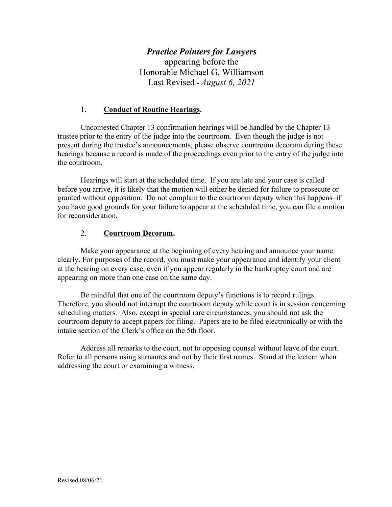# *Practice Pointers for Lawyers*

appearing before the Honorable Michael G. Williamson Last Revised **-** *August 6, 2021*

#### 1. **Conduct of Routine Hearings.**

Uncontested Chapter 13 confirmation hearings will be handled by the Chapter 13 trustee prior to the entry of the judge into the courtroom. Even though the judge is not present during the trustee's announcements, please observe courtroom decorum during these hearings because a record is made of the proceedings even prior to the entry of the judge into the courtroom.

Hearings will start at the scheduled time. If you are late and your case is called before you arrive, it is likely that the motion will either be denied for failure to prosecute or granted without opposition. Do not complain to the courtroom deputy when this happens–if you have good grounds for your failure to appear at the scheduled time, you can file a motion for reconsideration.

#### 2. **Courtroom Decorum.**

Make your appearance at the beginning of every hearing and announce your name clearly. For purposes of the record, you must make your appearance and identify your client at the hearing on every case, even if you appear regularly in the bankruptcy court and are appearing on more than one case on the same day.

Be mindful that one of the courtroom deputy's functions is to record rulings. Therefore, you should not interrupt the courtroom deputy while court is in session concerning scheduling matters. Also, except in special rare circumstances, you should not ask the courtroom deputy to accept papers for filing. Papers are to be filed electronically or with the intake section of the Clerk's office on the 5th floor.

Address all remarks to the court, not to opposing counsel without leave of the court. Refer to all persons using surnames and not by their first names. Stand at the lectern when addressing the court or examining a witness.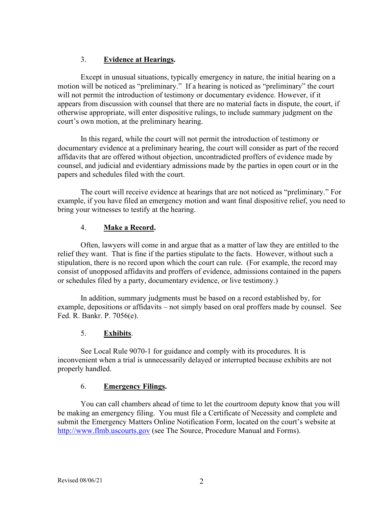## 3. **Evidence at Hearings.**

Except in unusual situations, typically emergency in nature, the initial hearing on a motion will be noticed as "preliminary." If a hearing is noticed as "preliminary" the court will not permit the introduction of testimony or documentary evidence. However, if it appears from discussion with counsel that there are no material facts in dispute, the court, if otherwise appropriate, will enter dispositive rulings, to include summary judgment on the court's own motion, at the preliminary hearing.

In this regard, while the court will not permit the introduction of testimony or documentary evidence at a preliminary hearing, the court will consider as part of the record affidavits that are offered without objection, uncontradicted proffers of evidence made by counsel, and judicial and evidentiary admissions made by the parties in open court or in the papers and schedules filed with the court.

The court will receive evidence at hearings that are not noticed as "preliminary." For example, if you have filed an emergency motion and want final dispositive relief, you need to bring your witnesses to testify at the hearing.

# 4. **Make a Record.**

Often, lawyers will come in and argue that as a matter of law they are entitled to the relief they want. That is fine if the parties stipulate to the facts. However, without such a stipulation, there is no record upon which the court can rule. (For example, the record may consist of unopposed affidavits and proffers of evidence, admissions contained in the papers or schedules filed by a party, documentary evidence, or live testimony.)

In addition, summary judgments must be based on a record established by, for example, depositions or affidavits – not simply based on oral proffers made by counsel. See Fed. R. Bankr. P. 7056(e).

# 5. **Exhibits**.

See Local Rule 9070-1 for guidance and comply with its procedures. It is inconvenient when a trial is unnecessarily delayed or interrupted because exhibits are not properly handled.

## 6. **Emergency Filings.**

You can call chambers ahead of time to let the courtroom deputy know that you will be making an emergency filing. You must file a Certificate of Necessity and complete and submit the Emergency Matters Online Notification Form, located on the court's website at [http://www.flmb.uscourts.gov](http://www.flmb.uscourts.gov/) (see The Source, Procedure Manual and Forms).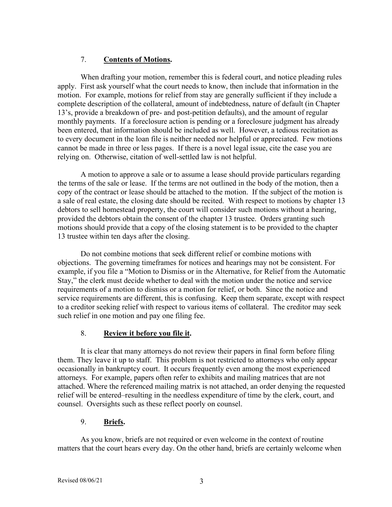## 7. **Contents of Motions.**

When drafting your motion, remember this is federal court, and notice pleading rules apply. First ask yourself what the court needs to know, then include that information in the motion. For example, motions for relief from stay are generally sufficient if they include a complete description of the collateral, amount of indebtedness, nature of default (in Chapter 13's, provide a breakdown of pre- and post-petition defaults), and the amount of regular monthly payments. If a foreclosure action is pending or a foreclosure judgment has already been entered, that information should be included as well. However, a tedious recitation as to every document in the loan file is neither needed nor helpful or appreciated. Few motions cannot be made in three or less pages. If there is a novel legal issue, cite the case you are relying on. Otherwise, citation of well-settled law is not helpful.

A motion to approve a sale or to assume a lease should provide particulars regarding the terms of the sale or lease. If the terms are not outlined in the body of the motion, then a copy of the contract or lease should be attached to the motion. If the subject of the motion is a sale of real estate, the closing date should be recited. With respect to motions by chapter 13 debtors to sell homestead property, the court will consider such motions without a hearing, provided the debtors obtain the consent of the chapter 13 trustee. Orders granting such motions should provide that a copy of the closing statement is to be provided to the chapter 13 trustee within ten days after the closing.

Do not combine motions that seek different relief or combine motions with objections. The governing timeframes for notices and hearings may not be consistent. For example, if you file a "Motion to Dismiss or in the Alternative, for Relief from the Automatic Stay," the clerk must decide whether to deal with the motion under the notice and service requirements of a motion to dismiss or a motion for relief, or both. Since the notice and service requirements are different, this is confusing. Keep them separate, except with respect to a creditor seeking relief with respect to various items of collateral. The creditor may seek such relief in one motion and pay one filing fee.

## 8. **Review it before you file it.**

It is clear that many attorneys do not review their papers in final form before filing them. They leave it up to staff. This problem is not restricted to attorneys who only appear occasionally in bankruptcy court. It occurs frequently even among the most experienced attorneys. For example, papers often refer to exhibits and mailing matrices that are not attached. Where the referenced mailing matrix is not attached, an order denying the requested relief will be entered–resulting in the needless expenditure of time by the clerk, court, and counsel. Oversights such as these reflect poorly on counsel.

# 9. **Briefs.**

As you know, briefs are not required or even welcome in the context of routine matters that the court hears every day. On the other hand, briefs are certainly welcome when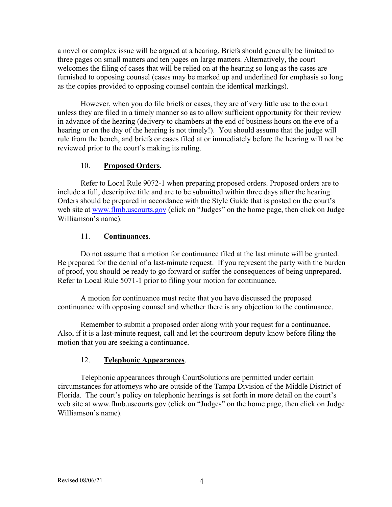a novel or complex issue will be argued at a hearing. Briefs should generally be limited to three pages on small matters and ten pages on large matters. Alternatively, the court welcomes the filing of cases that will be relied on at the hearing so long as the cases are furnished to opposing counsel (cases may be marked up and underlined for emphasis so long as the copies provided to opposing counsel contain the identical markings).

However, when you do file briefs or cases, they are of very little use to the court unless they are filed in a timely manner so as to allow sufficient opportunity for their review in advance of the hearing (delivery to chambers at the end of business hours on the eve of a hearing or on the day of the hearing is not timely!). You should assume that the judge will rule from the bench, and briefs or cases filed at or immediately before the hearing will not be reviewed prior to the court's making its ruling.

#### 10. **Proposed Orders.**

Refer to Local Rule 9072-1 when preparing proposed orders. Proposed orders are to include a full, descriptive title and are to be submitted within three days after the hearing. Orders should be prepared in accordance with the Style Guide that is posted on the court's web site at [www.flmb.uscourts.gov](http://www.flmb.uscourts.gov/) (click on "Judges" on the home page, then click on Judge Williamson's name).

#### 11. **Continuances**.

Do not assume that a motion for continuance filed at the last minute will be granted. Be prepared for the denial of a last-minute request. If you represent the party with the burden of proof, you should be ready to go forward or suffer the consequences of being unprepared. Refer to Local Rule 5071-1 prior to filing your motion for continuance.

A motion for continuance must recite that you have discussed the proposed continuance with opposing counsel and whether there is any objection to the continuance.

Remember to submit a proposed order along with your request for a continuance. Also, if it is a last-minute request, call and let the courtroom deputy know before filing the motion that you are seeking a continuance.

#### 12. **Telephonic Appearances**.

Telephonic appearances through CourtSolutions are permitted under certain circumstances for attorneys who are outside of the Tampa Division of the Middle District of Florida. The court's policy on telephonic hearings is set forth in more detail on the court's web site at www.flmb.uscourts.gov (click on "Judges" on the home page, then click on Judge Williamson's name).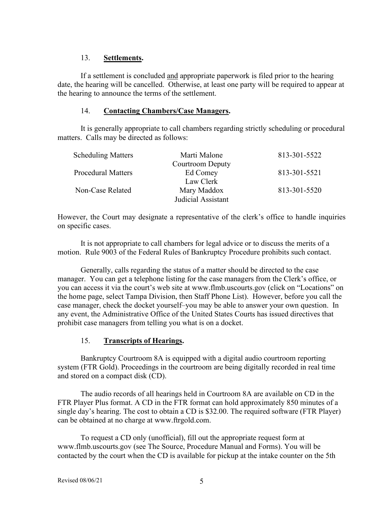### 13. **Settlements.**

If a settlement is concluded and appropriate paperwork is filed prior to the hearing date, the hearing will be cancelled. Otherwise, at least one party will be required to appear at the hearing to announce the terms of the settlement.

### 14. **Contacting Chambers/Case Managers.**

It is generally appropriate to call chambers regarding strictly scheduling or procedural matters. Calls may be directed as follows:

| <b>Scheduling Matters</b> | Marti Malone            | 813-301-5522 |
|---------------------------|-------------------------|--------------|
|                           | <b>Courtroom Deputy</b> |              |
| <b>Procedural Matters</b> | Ed Comey                | 813-301-5521 |
|                           | Law Clerk               |              |
| Non-Case Related          | Mary Maddox             | 813-301-5520 |
|                           | Judicial Assistant      |              |

However, the Court may designate a representative of the clerk's office to handle inquiries on specific cases.

It is not appropriate to call chambers for legal advice or to discuss the merits of a motion. Rule 9003 of the Federal Rules of Bankruptcy Procedure prohibits such contact.

Generally, calls regarding the status of a matter should be directed to the case manager. You can get a telephone listing for the case managers from the Clerk's office, or you can access it via the court's web site at www.flmb.uscourts.gov (click on "Locations" on the home page, select Tampa Division, then Staff Phone List). However, before you call the case manager, check the docket yourself–you may be able to answer your own question. In any event, the Administrative Office of the United States Courts has issued directives that prohibit case managers from telling you what is on a docket.

## 15. **Transcripts of Hearings.**

Bankruptcy Courtroom 8A is equipped with a digital audio courtroom reporting system (FTR Gold). Proceedings in the courtroom are being digitally recorded in real time and stored on a compact disk (CD).

The audio records of all hearings held in Courtroom 8A are available on CD in the FTR Player Plus format. A CD in the FTR format can hold approximately 850 minutes of a single day's hearing. The cost to obtain a CD is \$32.00. The required software (FTR Player) can be obtained at no charge at www.ftrgold.com.

To request a CD only (unofficial), fill out the appropriate request form at www.flmb.uscourts.gov (see The Source, Procedure Manual and Forms). You will be contacted by the court when the CD is available for pickup at the intake counter on the 5th